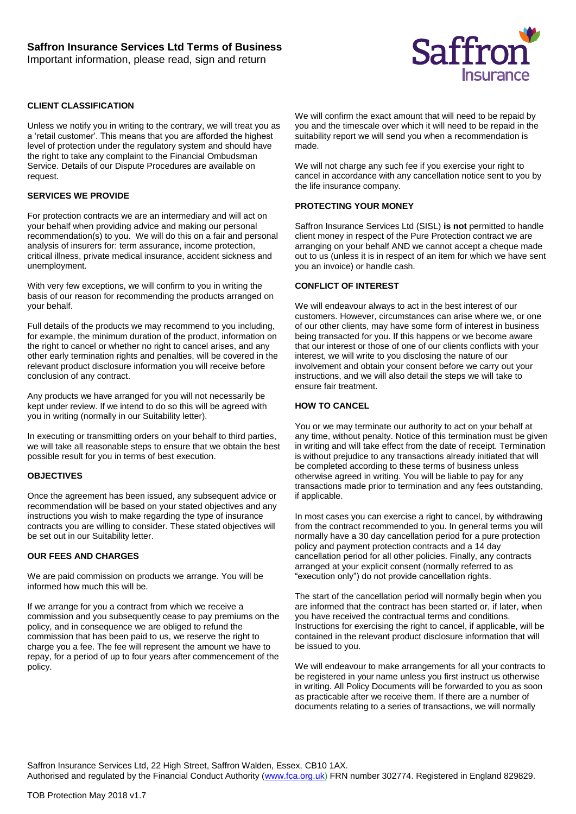Important information, please read, sign and return



## **CLIENT CLASSIFICATION**

Unless we notify you in writing to the contrary, we will treat you as a 'retail customer'. This means that you are afforded the highest level of protection under the regulatory system and should have the right to take any complaint to the Financial Ombudsman Service. Details of our Dispute Procedures are available on request.

#### **SERVICES WE PROVIDE**

For protection contracts we are an intermediary and will act on your behalf when providing advice and making our personal recommendation(s) to you. We will do this on a fair and personal analysis of insurers for: term assurance, income protection, critical illness, private medical insurance, accident sickness and unemployment.

With very few exceptions, we will confirm to you in writing the basis of our reason for recommending the products arranged on your behalf.

Full details of the products we may recommend to you including, for example, the minimum duration of the product, information on the right to cancel or whether no right to cancel arises, and any other early termination rights and penalties, will be covered in the relevant product disclosure information you will receive before conclusion of any contract.

Any products we have arranged for you will not necessarily be kept under review. If we intend to do so this will be agreed with you in writing (normally in our Suitability letter).

In executing or transmitting orders on your behalf to third parties, we will take all reasonable steps to ensure that we obtain the best possible result for you in terms of best execution.

#### **OBJECTIVES**

Once the agreement has been issued, any subsequent advice or recommendation will be based on your stated objectives and any instructions you wish to make regarding the type of insurance contracts you are willing to consider. These stated objectives will be set out in our Suitability letter.

#### **OUR FEES AND CHARGES**

We are paid commission on products we arrange. You will be informed how much this will be.

If we arrange for you a contract from which we receive a commission and you subsequently cease to pay premiums on the policy, and in consequence we are obliged to refund the commission that has been paid to us, we reserve the right to charge you a fee. The fee will represent the amount we have to repay, for a period of up to four years after commencement of the policy.

We will confirm the exact amount that will need to be repaid by you and the timescale over which it will need to be repaid in the suitability report we will send you when a recommendation is made.

We will not charge any such fee if you exercise your right to cancel in accordance with any cancellation notice sent to you by the life insurance company.

#### **PROTECTING YOUR MONEY**

Saffron Insurance Services Ltd (SISL) **is not** permitted to handle client money in respect of the Pure Protection contract we are arranging on your behalf AND we cannot accept a cheque made out to us (unless it is in respect of an item for which we have sent you an invoice) or handle cash.

## **CONFLICT OF INTEREST**

We will endeavour always to act in the best interest of our customers. However, circumstances can arise where we, or one of our other clients, may have some form of interest in business being transacted for you. If this happens or we become aware that our interest or those of one of our clients conflicts with your interest, we will write to you disclosing the nature of our involvement and obtain your consent before we carry out your instructions, and we will also detail the steps we will take to ensure fair treatment.

### **HOW TO CANCEL**

You or we may terminate our authority to act on your behalf at any time, without penalty. Notice of this termination must be given in writing and will take effect from the date of receipt. Termination is without prejudice to any transactions already initiated that will be completed according to these terms of business unless otherwise agreed in writing. You will be liable to pay for any transactions made prior to termination and any fees outstanding, if applicable.

In most cases you can exercise a right to cancel, by withdrawing from the contract recommended to you. In general terms you will normally have a 30 day cancellation period for a pure protection policy and payment protection contracts and a 14 day cancellation period for all other policies. Finally, any contracts arranged at your explicit consent (normally referred to as "execution only") do not provide cancellation rights.

The start of the cancellation period will normally begin when you are informed that the contract has been started or, if later, when you have received the contractual terms and conditions. Instructions for exercising the right to cancel, if applicable, will be contained in the relevant product disclosure information that will be issued to you.

We will endeavour to make arrangements for all your contracts to be registered in your name unless you first instruct us otherwise in writing. All Policy Documents will be forwarded to you as soon as practicable after we receive them. If there are a number of documents relating to a series of transactions, we will normally